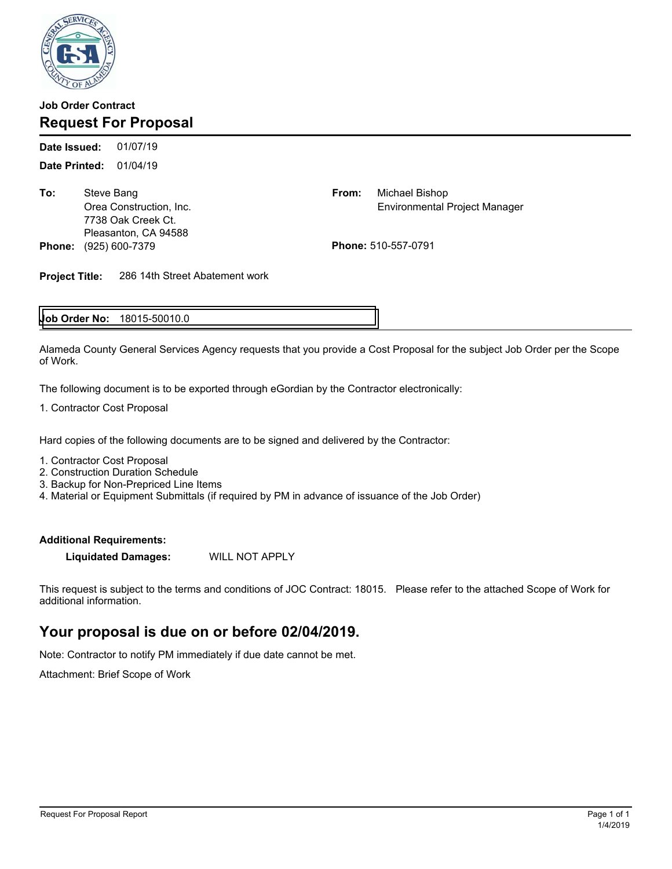

### **Job Order Contract Request For Proposal**

01/07/19 **Date Printed:** 01/04/19 **Date Issued:** 

**To:** Steve Bang 7738 Oak Creek Ct. Pleasanton, CA 94588 **Phone:** (925) 600-7379 **Phone:** 510-557-0791

From: Michael Bishop Orea Construction, Inc. Environmental Project Manager

**Project Title:** 286 14th Street Abatement work

### **Job Order No: 18015-50010.0**

Alameda County General Services Agency requests that you provide a Cost Proposal for the subject Job Order per the Scope of Work.

The following document is to be exported through eGordian by the Contractor electronically:

1. Contractor Cost Proposal

Hard copies of the following documents are to be signed and delivered by the Contractor:

1. Contractor Cost Proposal

- 2. Construction Duration Schedule
- 3. Backup for Non-Prepriced Line Items

4. Material or Equipment Submittals (if required by PM in advance of issuance of the Job Order)

#### **Additional Requirements:**

**Liquidated Damages:** WILL NOT APPLY

This request is subject to the terms and conditions of JOC Contract: 18015. Please refer to the attached Scope of Work for additional information.

# **Your proposal is due on or before 02/04/2019.**

Note: Contractor to notify PM immediately if due date cannot be met.

Attachment: Brief Scope of Work